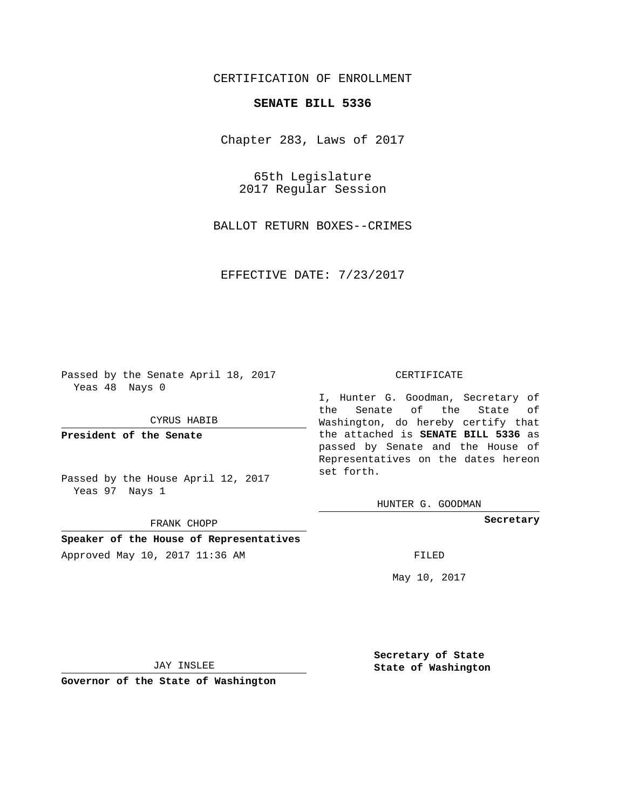## CERTIFICATION OF ENROLLMENT

## **SENATE BILL 5336**

Chapter 283, Laws of 2017

65th Legislature 2017 Regular Session

BALLOT RETURN BOXES--CRIMES

EFFECTIVE DATE: 7/23/2017

Passed by the Senate April 18, 2017 Yeas 48 Nays 0

CYRUS HABIB

**President of the Senate**

Passed by the House April 12, 2017 Yeas 97 Nays 1

FRANK CHOPP

**Speaker of the House of Representatives**

Approved May 10, 2017 11:36 AM FILED

#### CERTIFICATE

I, Hunter G. Goodman, Secretary of the Senate of the State of Washington, do hereby certify that the attached is **SENATE BILL 5336** as passed by Senate and the House of Representatives on the dates hereon set forth.

HUNTER G. GOODMAN

**Secretary**

May 10, 2017

JAY INSLEE

**Governor of the State of Washington**

**Secretary of State State of Washington**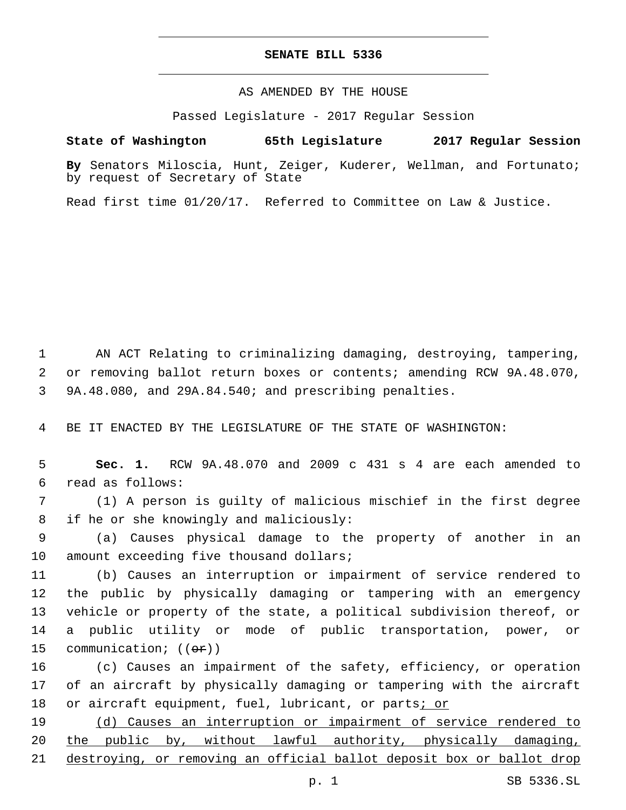## **SENATE BILL 5336**

AS AMENDED BY THE HOUSE

Passed Legislature - 2017 Regular Session

# **State of Washington 65th Legislature 2017 Regular Session**

**By** Senators Miloscia, Hunt, Zeiger, Kuderer, Wellman, and Fortunato; by request of Secretary of State

Read first time 01/20/17. Referred to Committee on Law & Justice.

1 AN ACT Relating to criminalizing damaging, destroying, tampering, 2 or removing ballot return boxes or contents; amending RCW 9A.48.070, 3 9A.48.080, and 29A.84.540; and prescribing penalties.

4 BE IT ENACTED BY THE LEGISLATURE OF THE STATE OF WASHINGTON:

5 **Sec. 1.** RCW 9A.48.070 and 2009 c 431 s 4 are each amended to read as follows:6

7 (1) A person is guilty of malicious mischief in the first degree 8 if he or she knowingly and maliciously:

9 (a) Causes physical damage to the property of another in an 10 amount exceeding five thousand dollars;

 (b) Causes an interruption or impairment of service rendered to the public by physically damaging or tampering with an emergency vehicle or property of the state, a political subdivision thereof, or a public utility or mode of public transportation, power, or 15 communication; ((ex))

16 (c) Causes an impairment of the safety, efficiency, or operation 17 of an aircraft by physically damaging or tampering with the aircraft 18 or aircraft equipment, fuel, lubricant, or parts<u>; or</u>

19 (d) Causes an interruption or impairment of service rendered to 20 the public by, without lawful authority, physically damaging, 21 destroying, or removing an official ballot deposit box or ballot drop